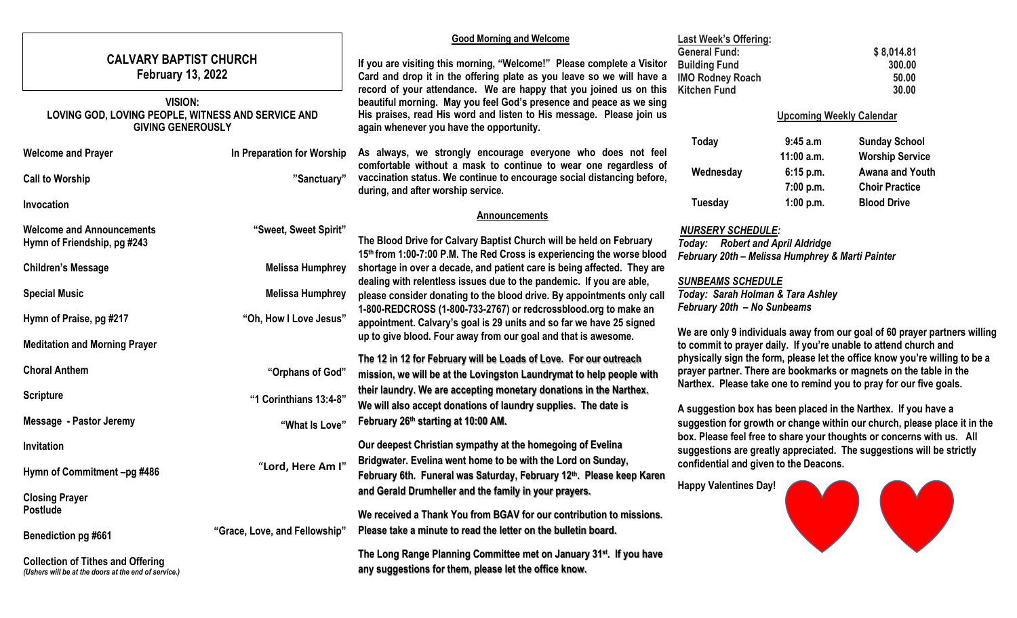| <b>CALVARY BAPTIST CHURCH</b><br><b>February 13, 2022</b><br><b>VISION:</b><br>LOVING GOD, LOVING PEOPLE, WITNESS AND SERVICE AND<br><b>GIVING GENEROUSLY</b> |                                           | <b>Good Morning and Welcome</b><br>If you are visiting this morning, "Welcome!" Please complete a Visitor<br>Card and drop it in the offering plate as you leave so we will have a<br>record of your attendance. We are happy that you joined us on this<br>beautiful morning. May you feel God's presence and peace as we sing<br>His praises, read His word and listen to His message. Please join us<br>again whenever you have the opportunity. | <b>Last Week's Offering:</b><br><b>General Fund:</b><br><b>Building Fund</b><br><b>IMO Rodney Roach</b><br><b>Kitchen Fund</b>                                                                                          | \$8,014.81<br>300.00<br>50.00<br>30.00<br><b>Upcoming Weekly Calendar</b>                   |                                                                   |  |
|---------------------------------------------------------------------------------------------------------------------------------------------------------------|-------------------------------------------|-----------------------------------------------------------------------------------------------------------------------------------------------------------------------------------------------------------------------------------------------------------------------------------------------------------------------------------------------------------------------------------------------------------------------------------------------------|-------------------------------------------------------------------------------------------------------------------------------------------------------------------------------------------------------------------------|---------------------------------------------------------------------------------------------|-------------------------------------------------------------------|--|
| <b>Welcome and Prayer</b><br><b>Call to Worship</b>                                                                                                           | In Preparation for Worship<br>"Sanctuary" | As always, we strongly encourage everyone who does not feel<br>comfortable without a mask to continue to wear one regardless of<br>vaccination status. We continue to encourage social distancing before,                                                                                                                                                                                                                                           | Today<br>Wednesday                                                                                                                                                                                                      | 9:45 a.m<br>11:00 a.m.<br>6:15 p.m.                                                         | <b>Sunday School</b><br><b>Worship Service</b><br>Awana and Youth |  |
| Invocation                                                                                                                                                    |                                           | during, and after worship service.<br><b>Announcements</b>                                                                                                                                                                                                                                                                                                                                                                                          | Tuesday                                                                                                                                                                                                                 | 7:00 p.m.<br>1:00 p.m.                                                                      | <b>Choir Practice</b><br><b>Blood Drive</b>                       |  |
| <b>Welcome and Announcements</b><br>Hymn of Friendship, pg #243                                                                                               | "Sweet, Sweet Spirit"                     | The Blood Drive for Calvary Baptist Church will be held on February<br>15th from 1:00-7:00 P.M. The Red Cross is experiencing the worse blood                                                                                                                                                                                                                                                                                                       | <b>NURSERY SCHEDULE:</b>                                                                                                                                                                                                | <b>Today:</b> Robert and April Aldridge<br>February 20th - Melissa Humphrey & Marti Painter |                                                                   |  |
| <b>Children's Message</b>                                                                                                                                     | <b>Melissa Humphrey</b>                   | shortage in over a decade, and patient care is being affected. They are<br>dealing with relentless issues due to the pandemic. If you are able,<br><b>SUNBEAMS SCHEDULE</b><br>Today: Sarah Holman & Tara Ashley<br>please consider donating to the blood drive. By appointments only call                                                                                                                                                          |                                                                                                                                                                                                                         |                                                                                             |                                                                   |  |
| <b>Special Music</b>                                                                                                                                          | <b>Melissa Humphrey</b>                   |                                                                                                                                                                                                                                                                                                                                                                                                                                                     |                                                                                                                                                                                                                         |                                                                                             |                                                                   |  |
| Hymn of Praise, pg #217<br><b>Meditation and Morning Prayer</b>                                                                                               | "Oh, How I Love Jesus"                    | 1-800-REDCROSS (1-800-733-2767) or redcrossblood.org to make an<br>appointment. Calvary's goal is 29 units and so far we have 25 signed<br>up to give blood. Four away from our goal and that is awesome.                                                                                                                                                                                                                                           | February 20th - No Sunbeams<br>We are only 9 individuals away from our goal of 60 prayer partners willing<br>to commit to prayer daily. If you're unable to attend church and                                           |                                                                                             |                                                                   |  |
| <b>Choral Anthem</b>                                                                                                                                          | "Orphans of God"                          | The 12 in 12 for February will be Loads of Love. For our outreach<br>mission, we will be at the Lovingston Laundrymat to help people with                                                                                                                                                                                                                                                                                                           | physically sign the form, please let the office know you're willing to be a<br>prayer partner. There are bookmarks or magnets on the table in the<br>Narthex. Please take one to remind you to pray for our five goals. |                                                                                             |                                                                   |  |
| <b>Scripture</b>                                                                                                                                              | "1 Corinthians 13:4-8"                    | their laundry. We are accepting monetary donations in the Narthex.<br>We will also accept donations of laundry supplies. The date is<br>A suggestion box has been placed in the Narthex. If you have a<br>February 26th starting at 10:00 AM.<br>suggestion for growth or change within our church, please place it in the                                                                                                                          |                                                                                                                                                                                                                         |                                                                                             |                                                                   |  |
| <b>Message - Pastor Jeremy</b>                                                                                                                                | "What Is Love"                            |                                                                                                                                                                                                                                                                                                                                                                                                                                                     |                                                                                                                                                                                                                         |                                                                                             |                                                                   |  |
| Invitation<br>Hymn of Commitment -pg #486                                                                                                                     | "Lord, Here Am I'                         | Our deepest Christian sympathy at the homegoing of Evelina<br>Bridgwater. Evelina went home to be with the Lord on Sunday,<br>February 6th. Funeral was Saturday, February 12th. Please keep Karen                                                                                                                                                                                                                                                  | box. Please feel free to share your thoughts or concerns with us. All<br>suggestions are greatly appreciated. The suggestions will be strictly<br>confidential and given to the Deacons.                                |                                                                                             |                                                                   |  |
| <b>Closing Prayer</b>                                                                                                                                         |                                           | and Gerald Drumheller and the family in your prayers.                                                                                                                                                                                                                                                                                                                                                                                               | <b>Happy Valentines Day!</b>                                                                                                                                                                                            |                                                                                             |                                                                   |  |
| <b>Postlude</b><br><b>Benediction pg #661</b>                                                                                                                 | "Grace, Love, and Fellowship"             | We received a Thank You from BGAV for our contribution to missions.<br>Please take a minute to read the letter on the bulletin board.                                                                                                                                                                                                                                                                                                               |                                                                                                                                                                                                                         |                                                                                             |                                                                   |  |
| <b>Collection of Tithes and Offering</b><br>(Ushers will be at the doors at the end of service.)                                                              |                                           | The Long Range Planning Committee met on January 31 <sup>st</sup> . If you have<br>any suggestions for them, please let the office know.                                                                                                                                                                                                                                                                                                            |                                                                                                                                                                                                                         |                                                                                             |                                                                   |  |